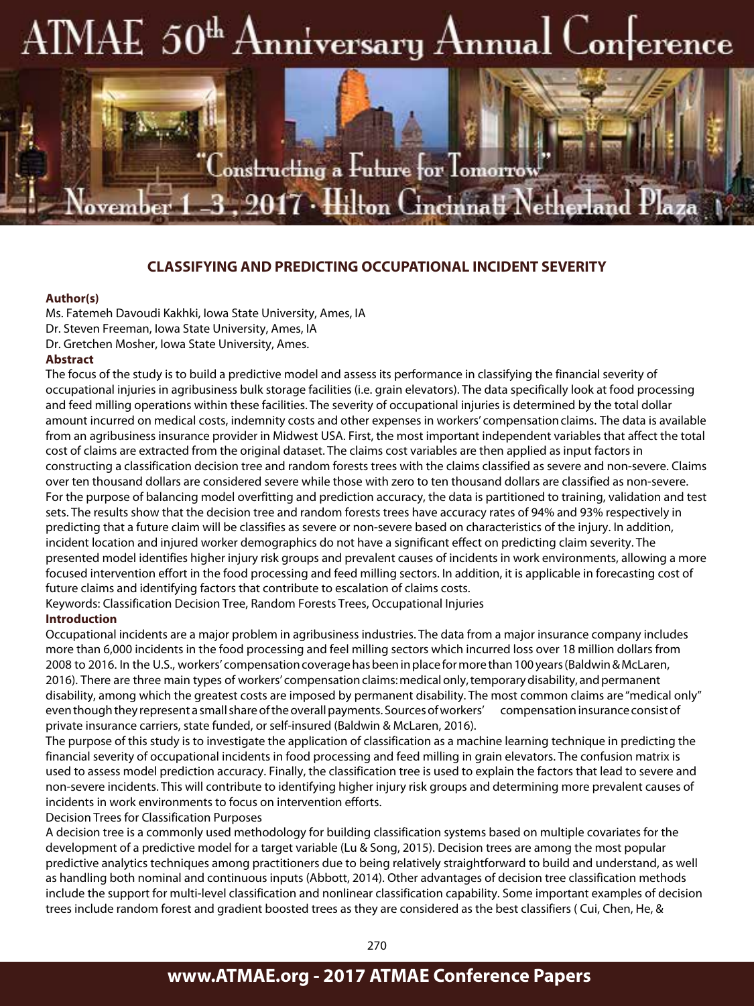## AIMAE 50<sup>th</sup> Anniversary Annual Conference

## **CLASSIFYING AND PREDICTING OCCUPATIONAL INCIDENT SEVERITY**

onstructing a Future for Tomorrow

Incinna<del>li</del> Netherla

 $7\cdot\mathrm{Hilton}$  (

#### **Author(s)**

ovem

Ms. Fatemeh Davoudi Kakhki, Iowa State University, Ames, IA Dr. Steven Freeman, Iowa State University, Ames, IA Dr. Gretchen Mosher, Iowa State University, Ames.

### **Abstract**

The focus of the study is to build a predictive model and assess its performance in classifying the financial severity of occupational injuries in agribusiness bulk storage facilities (i.e. grain elevators). The data specifically look at food processing and feed milling operations within these facilities. The severity of occupational injuries is determined by the total dollar amount incurred on medical costs, indemnity costs and other expenses in workers' compensation claims. The data is available from an agribusiness insurance provider in Midwest USA. First, the most important independent variables that affect the total cost of claims are extracted from the original dataset. The claims cost variables are then applied as input factors in constructing a classification decision tree and random forests trees with the claims classified as severe and non-severe. Claims over ten thousand dollars are considered severe while those with zero to ten thousand dollars are classified as non-severe. For the purpose of balancing model overfitting and prediction accuracy, the data is partitioned to training, validation and test sets. The results show that the decision tree and random forests trees have accuracy rates of 94% and 93% respectively in predicting that a future claim will be classifies as severe or non-severe based on characteristics of the injury. In addition, incident location and injured worker demographics do not have a significant effect on predicting claim severity. The presented model identifies higher injury risk groups and prevalent causes of incidents in work environments, allowing a more focused intervention effort in the food processing and feed milling sectors. In addition, it is applicable in forecasting cost of future claims and identifying factors that contribute to escalation of claims costs.

Keywords: Classification Decision Tree, Random Forests Trees, Occupational Injuries

#### **Introduction**

Occupational incidents are a major problem in agribusiness industries. The data from a major insurance company includes more than 6,000 incidents in the food processing and feel milling sectors which incurred loss over 18 million dollars from 2008 to 2016. In the U.S., workers' compensation coverage has been in place for more than 100 years (Baldwin & McLaren, 2016). There are three main types of workers' compensation claims: medical only, temporary disability, and permanent disability, among which the greatest costs are imposed by permanent disability. The most common claims are "medical only" even though they represent a small share of the overall payments. Sources of workers' compensation insurance consist of private insurance carriers, state funded, or self-insured (Baldwin & McLaren, 2016).

The purpose of this study is to investigate the application of classification as a machine learning technique in predicting the financial severity of occupational incidents in food processing and feed milling in grain elevators. The confusion matrix is used to assess model prediction accuracy. Finally, the classification tree is used to explain the factors that lead to severe and non-severe incidents. This will contribute to identifying higher injury risk groups and determining more prevalent causes of incidents in work environments to focus on intervention efforts.

Decision Trees for Classification Purposes

A decision tree is a commonly used methodology for building classification systems based on multiple covariates for the development of a predictive model for a target variable (Lu & Song, 2015). Decision trees are among the most popular predictive analytics techniques among practitioners due to being relatively straightforward to build and understand, as well as handling both nominal and continuous inputs (Abbott, 2014). Other advantages of decision tree classification methods include the support for multi-level classification and nonlinear classification capability. Some important examples of decision trees include random forest and gradient boosted trees as they are considered as the best classifiers ( Cui, Chen, He, &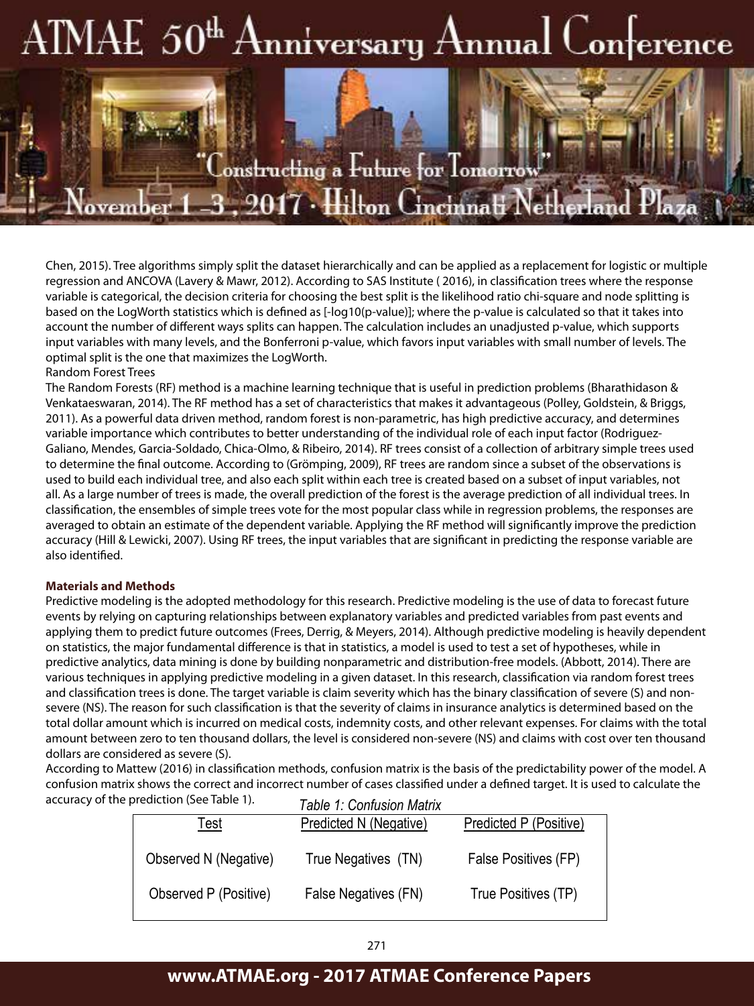# $\text{AMAE } 50^{\text{th}}$  Anniversary Annual Conference

 $\epsilon$ onstructing a  $\rm F$ uture for  $\rm T$ omorrow

Predictive modeling is the adopted methodology for this research. Predictive modeling is the use of data to

**017 • Hilton Cincinnati Nether** 

Chen, 2015). Tree algorithms simply split the dataset hierarchically and can be applied as a replacement for logistic or multiple regression and ANCOVA (Lavery & Mawr, 2012). According to SAS Institute ( 2016), in classification trees where the response variable is categorical, the decision criteria for choosing the best split is the likelihood ratio chi-square and node splitting is based on the LogWorth statistics which is defined as [-log10(p-value)]; where the p-value is calculated so that it takes into account the number of different ways splits can happen. The calculation includes an unadjusted p-value, which supports input variables with many levels, and the Bonferroni p-value, which favors input variables with small number of levels. The optimal split is the one that maximizes the LogWorth. statistics, a model is used to test a set of hypotheses, which is done by predictive analytics, data mining is done by  $\alpha$ 

## Random Forest Trees

ovem

The Random Forests (RF) method is a machine learning technique that is useful in prediction problems (Bharathidason & Venkataeswaran, 2014). The RF method has a set of characteristics that makes it advantageous (Polley, Goldstein, & Briggs, 2011). As a powerful data driven method, random forest is non-parametric, has high predictive accuracy, and determines variable importance which contributes to better understanding of the individual role of each input factor (Rodriguez-<br>Galiano Mandes Garsia Soldado Chica Olmo & Pibeiro 2014). PE tress consist of a sollection of arbitrary Galiano, Mendes, Garcia-Soldado, Chica-Olmo, & Ribeiro, 2014). RF trees consist of a collection of arbitrary simple trees used to determine the final outcome. According to (Grömping, 2009), RF trees are random since a subset of the observations is used to build each individual tree, and also each split within each tree is created based on a subset of input variables, not all. As a large number of trees is made, the overall prediction of the forest is the average prediction of all individual trees. In classification, the ensembles of simple trees vote for the most popular class while in regression problems, the responses are averaged to obtain an estimate of the dependent variable. Applying the RF method will significantly improve the prediction accuracy (Hill & Lewicki, 2007). Using RF trees, the input variables that are significant in predicting the response variable are<br>- المستخدمات also identified.

## indemnity costs, and other relevant expenses. For claims with the total amount between  $\mathcal{L}$  and  $\mathcal{L}$  and to ten to ten to ten to ten to ten to ten to ten to ten to ten to ten to ten to ten to ten to ten to ten to t

Predictive modeling is the adopted methodology for this research. Predictive modeling is the use of data to forecast future events by relying on capturing relationships between explanatory variables and predicted variables from past events and applying them to predict future outcomes (Frees, Derrig, & Meyers, 2014). Although predictive modeling is heavily dependent on statistics, the major fundamental difference is that in statistics, a model is used to test a set of hypotheses, while in  $\sim$ predictive analytics, data mining is done by building nonparametric and distribution-free models. (Abbott, 2014). There are various techniques in applying predictive modeling in a given dataset. In this research, classification via random forest trees and classification trees is done. The target variable is claim severity which has the binary classification of severe (S) and nonsevere (NS). The reason for such classification is that the severity of claims in insurance analytics is determined based on the total dollar amount which is incurred on medical costs, indemnity costs, and other relevant expenses. For claims with the total<br>https://www.com/www.com/www.com/www.com/www.com/www.com/www.com/www.com/www.com/www.com/www.co amount between zero to ten thousand dollars, the level is considered non-severe (NS) and claims with cost over ten thousand dollars are considered as severe (S).

abilats are considered as severe (5).<br>According to Mattew (2016) in classification methods, confusion matrix is the basis of the predictability power of the model. A confusion matrix shows the correct and incorrect number of cases classified under a defined target. It is used to calculate the accuracy of the prediction (See Table 1). *Table 1: Confusion Matrix* 

|                       | Table T: Confusion Matrix     |                        |
|-----------------------|-------------------------------|------------------------|
| Test                  | <b>Predicted N (Negative)</b> | Predicted P (Positive) |
| Observed N (Negative) | True Negatives (TN)           | False Positives (FP)   |
| Observed P (Positive) | False Negatives (FN)          | True Positives (TP)    |
|                       |                               |                        |

## **www.ATMAE.org - 2017 ATMAE Conference Papers**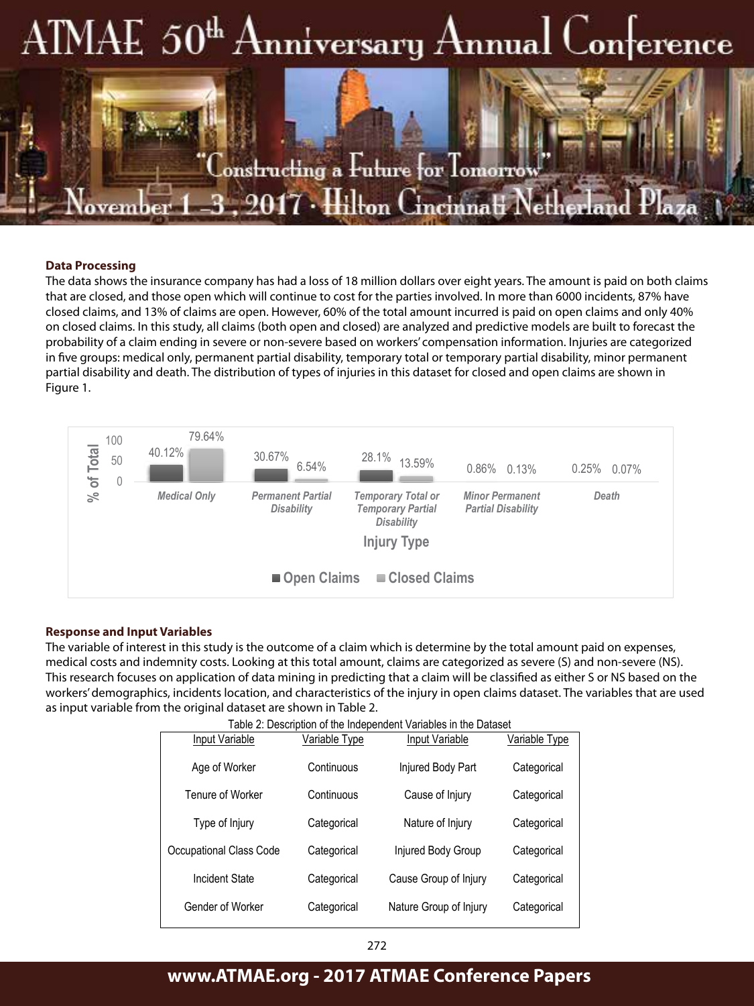# $\text{AMAE } 50^{\text{th}}$  Anniversary Annual Conference



### **Data Processing**

The data shows the insurance company has had a loss of 18 million dollars over eight years. The amount is paid on both claims<br>that are closed, and these onen which will sentinue to sest for the parties involved. In more th that are closed, and those open which will continue to cost for the parties involved. In more than 6000 incidents, 87% have closed claims, and 13% of claims are open. However, 60% of the total amount incurred is paid on open claims and only 40% on closed claims. In this study, all claims (both open and closed) are analyzed and predictive models are built to forecast the probability of a claim ending in severe or non-severe based on workers' compensation information. Injuries are categorized in five groups: medical only, permanent partial disability, temporary total or temporary partial disability, minor permanent partial disability and death. The distribution of types of injuries in this dataset for closed and open claims are shown in Figure 1. are shown in Figure 1.



#### **Response and Input Variables** *Figure 1: Type of Injury Distribution based on Claim Status*

*Partitioning Data*

This research locuses on application or data mining in predicting that a claim will be classified as entier 3 of N3 based on the<br>workers' demographics, incidents location, and characteristics of the injury in open claims d The variable of interest in this study is the outcome of a claim which is determine by the total amount paid on expenses, medical costs and indemnity costs. Looking at this total amount, claims are categorized as severe (S) and non-severe (NS). This research focuses on application of data mining in predicting that a claim will be classified as either S or NS based on the as input variable from the original dataset are shown in Table 2.

|                         |               | rable 2: Description of the independent variables in the Dataset |               |
|-------------------------|---------------|------------------------------------------------------------------|---------------|
| Input Variable          | Variable Type | Input Variable                                                   | Variable Type |
| Age of Worker           | Continuous    | Injured Body Part                                                | Categorical   |
| Tenure of Worker        | Continuous    | Cause of Injury                                                  | Categorical   |
| Type of Injury          | Categorical   | Nature of Injury                                                 | Categorical   |
| Occupational Class Code | Categorical   | Injured Body Group                                               | Categorical   |
| Incident State          | Categorical   | Cause Group of Injury                                            | Categorical   |
| Gender of Worker        | Categorical   | Nature Group of Injury                                           | Categorical   |
|                         |               |                                                                  |               |

| Table 2: Description of the Independent Variables in the Dataset |
|------------------------------------------------------------------|
|                                                                  |

## www.ATMAE.org - 2017 ATMAE Conference Papers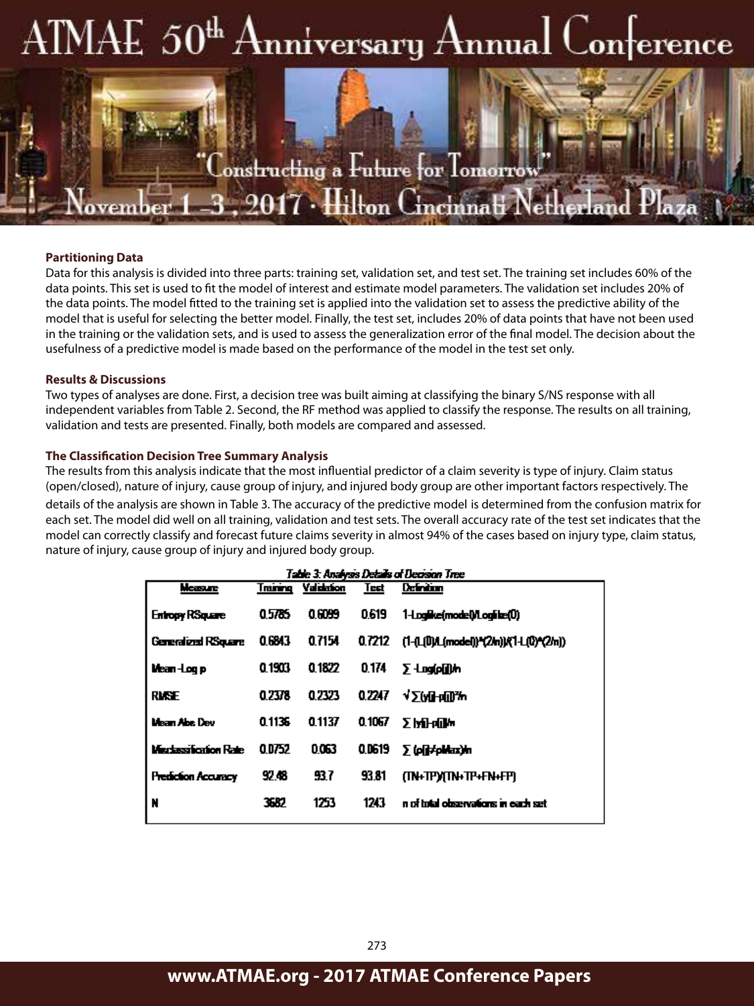## AIMAE 50<sup>th</sup> Anniversary Annual on erence



### **Partitioning Data**

Data for this analysis is divided into three parts: training set, validation set, and test set. The training set includes 60% of the data points. This set is used to fit the model of interest and estimate model parameters. The validation set includes 20% of the data points. The model fitted to the training set is applied into the validation set to assess the predictive ability of the model that is useful for selecting the better model. Finally, the test set, includes 20% of data points that have not been used in the training or the validation sets, and is used to assess the generalization error of the final model. The decision about the usefulness of a predictive model is made based on the performance of the model in the test set only.

### **Results & Discussions**

Two types of analyses are done. First, a decision tree was built aiming at classifying the binary S/NS response with all independent variables from Table 2. Second, the RF method was applied to classify the response. The results on all training, validation and tests are presented. Finally, both models are compared and assessed.

### **The Classification Decision Tree Summary Analysis**

The results from this analysis indicate that the most influential predictor of a claim severity is type of injury. Claim status (open/closed), nature of injury, cause group of injury, and injured body group are other important factors respectively. The details of the analysis are shown in Table 3. The accuracy of the predictive model is determined from the confusion matrix for each set. The model did well on all training, validation and test sets. The overall accuracy rate of the test set indicates that the model can correctly classify and forecast future claims severity in almost 94% of the cases based on injury type, claim status, nature of injury, cause group of injury and injured body group.

| Table 3: Analysis Details of Decision Tree |        |                     |        |                                                |
|--------------------------------------------|--------|---------------------|--------|------------------------------------------------|
| Measure                                    |        | Training Validation | Test   | Definition                                     |
| Enhopy RSquare                             | 05785  | 0.6099              | 0.619  | 1-Logike(model) Logike(0)                      |
| <b>Generatized RSquare</b>                 | 0.6843 | 0.7154              |        | 0.7212 (1-0.00A.(model))*(2/n)){(1-1.0)*(2/n)) |
| Mean-Log p                                 | 0.1903 | 0.1822              | 0.174  | ∑-Log(o[j]\h                                   |
| RIKSE                                      | 0.2378 | 0.7373              | 0.7247 | √∑(у∏-р∭‰                                      |
| Mean Abs Dev                               | 0.1136 | 0.1137              | 0.1067 | ∑МНоП⁄м                                        |
| Misclassification Rate                     | 00752  | 0063                | 0.0619 | Σ (p[j⊅pMax)m                                  |
| <b>Prediction Accuracy</b>                 | 92.48  | 93.7                | 93.81  | <b>MHPYMHFF+FN+FPI</b>                         |
| l N                                        | 3687   | 1753                | 1243   | n of intal observations in each set.           |
|                                            |        |                     |        |                                                |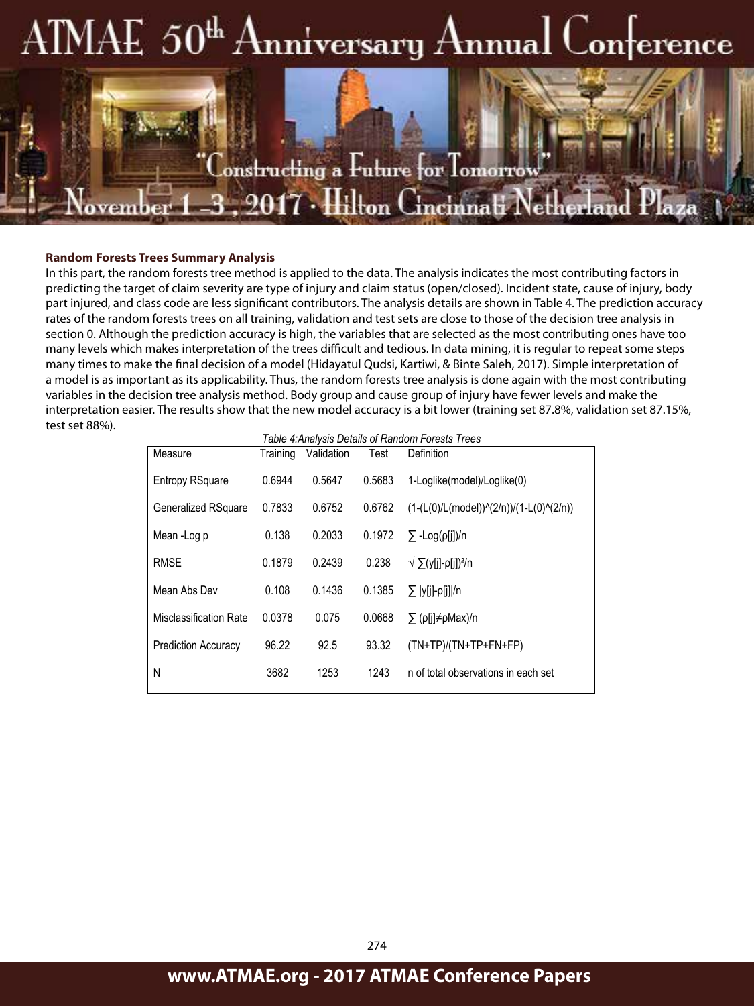## $\text{AMAE } 50^{\text{th}}\text{Amiversary Annual}$  $\Box$ on $^{\dagger}$ erence



## **The many levels which makes interpretation of the trees of the trees difficult and tediously which may be trees**

In this part, the random forests tree method is applied to the data. The analysis indicates the most contributing factors in predicting the target of claim severity are type of injury and claim status (open/closed). Incident state, cause of injury, body part injured, and class code are less significant contributors. The analysis details are shown in Table 4. The prediction accuracy rates of the random forests trees on all training, validation and test sets are close to those of the decision tree analysis in section 0. Although the prediction accuracy is high, the variables that are selected as the most contributing ones have too many levels which makes interpretation of the trees difficult and tedious. In data mining, it is regular to repeat some steps many times to make the final decision of a model (Hidayatul Qudsi, Kartiwi, & Binte Saleh, 2017). Simple interpretation of a model is as important as its applicability. Thus, the random forests tree analysis is done again with the most contributing variables in the decision tree analysis method. Body group and cause group of injury have fewer levels and make the interpretation easier. The results show that the new model accuracy is a bit lower (training set 87.8%, validation set 87.15%, test set 88%).

 $\Delta$  although the prediction accuracy is highly the variables that are selected as the most contributing ones have  $\Delta$ 

| Table 4: Analysis Details of Random Forests Trees |          |            |        |                                          |
|---------------------------------------------------|----------|------------|--------|------------------------------------------|
| Measure                                           | Training | Validation | Test   | Definition                               |
|                                                   |          |            |        |                                          |
| <b>Entropy RSquare</b>                            | 0.6944   | 0.5647     | 0.5683 | 1-Loglike(model)/Loglike(0)              |
| <b>Generalized RSquare</b>                        | 0.7833   | 0.6752     | 0.6762 | $(1-(L(0)/L(model))(2/n))/(1-L(0)(2/n))$ |
|                                                   |          |            |        |                                          |
| Mean-Log p                                        | 0.138    | 0.2033     | 0.1972 | $\Sigma$ -Log(p[i])/n                    |
|                                                   |          |            |        |                                          |
| <b>RMSE</b>                                       | 0.1879   | 0.2439     | 0.238  | $\sqrt{\sum (y[i]-\rho[i])^2/n}$         |
|                                                   |          |            |        |                                          |
| Mean Abs Dev                                      | 0.108    | 0.1436     | 0.1385 | $\sum$  y[j]-p[j] /n                     |
| <b>Misclassification Rate</b>                     | 0.0378   | 0.075      | 0.0668 | $\sum$ (p[j] $\neq$ pMax)/n              |
|                                                   |          |            |        |                                          |
| <b>Prediction Accuracy</b>                        | 96.22    | 92.5       | 93.32  | $(TN+TP)/(TN+TP+FN+FP)$                  |
|                                                   |          |            |        |                                          |
| N                                                 | 3682     | 1253       | 1243   | n of total observations in each set      |
|                                                   |          |            |        |                                          |